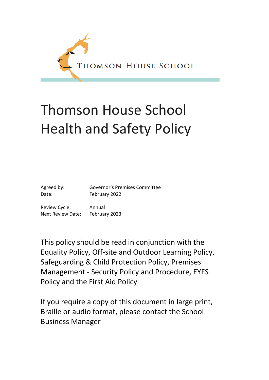

# Thomson House School Health and Safety Policy

Agreed by: Governor's Premises Committee Date: February 2022

Review Cycle: Annual Next Review Date: February 2023

This policy should be read in conjunction with the Equality Policy, Off-site and Outdoor Learning Policy, Safeguarding & Child Protection Policy, Premises Management - Security Policy and Procedure, EYFS Policy and the First Aid Policy

If you require a copy of this document in large print, Braille or audio format, please contact the School Business Manager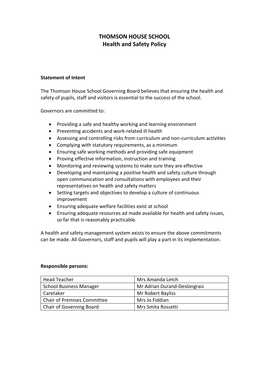# **THOMSON HOUSE SCHOOL Health and Safety Policy**

#### **Statement of Intent**

The Thomson House School Governing Board believes that ensuring the health and safety of pupils, staff and visitors is essential to the success of the school.

Governors are committed to:

- Providing a safe and healthy working and learning environment
- Preventing accidents and work-related ill health
- Assessing and controlling risks from curriculum and non-curriculum activities
- Complying with statutory requirements, as a minimum
- Ensuring safe working methods and providing safe equipment
- Proving effective information, instruction and training
- Monitoring and reviewing systems to make sure they are effective
- Developing and maintaining a positive health and safety culture through open communication and consultations with employees and their representatives on health and safety matters
- Setting targets and objectives to develop a culture of continuous improvement
- Ensuring adequate welfare facilities exist at school
- Ensuring adequate resources ad made available for health and safety issues, so far that is reasonably practicable.

A health and safety management system exists to ensure the above commitments can be made. All Governors, staff and pupils will play a part in its implementation.

#### **Responsible persons:**

| Head Teacher                   | Mrs Amanda Letch             |
|--------------------------------|------------------------------|
| <b>School Business Manager</b> | Mr Adrian Durand-Deslongrais |
| Caretaker                      | Mr Robert Bayliss            |
| Chair of Premises Committee    | Mrs Jo Fiddian               |
| Chair of Governing Board       | Mrs Smita Rossetti           |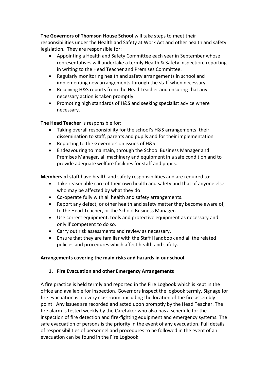### **The Governors of Thomson House School** will take steps to meet their

responsibilities under the Health and Safety at Work Act and other health and safety legislation. They are responsible for:

- Appointing a Health and Safety Committee each year in September whose representatives will undertake a termly Health & Safety inspection, reporting in writing to the Head Teacher and Premises Committee.
- Regularly monitoring health and safety arrangements in school and implementing new arrangements through the staff when necessary.
- Receiving H&S reports from the Head Teacher and ensuring that any necessary action is taken promptly.
- Promoting high standards of H&S and seeking specialist advice where necessary.

**The Head Teacher** is responsible for:

- Taking overall responsibility for the school's H&S arrangements, their dissemination to staff, parents and pupils and for their implementation
- Reporting to the Governors on issues of H&S
- Endeavouring to maintain, through the School Business Manager and Premises Manager, all machinery and equipment in a safe condition and to provide adequate welfare facilities for staff and pupils.

**Members of staff** have health and safety responsibilities and are required to:

- Take reasonable care of their own health and safety and that of anyone else who may be affected by what they do.
- Co-operate fully with all health and safety arrangements.
- Report any defect, or other health and safety matter they become aware of, to the Head Teacher, or the School Business Manager.
- Use correct equipment, tools and protective equipment as necessary and only if competent to do so.
- Carry out risk assessments and review as necessary.
- Ensure that they are familiar with the Staff Handbook and all the related policies and procedures which affect health and safety.

### **Arrangements covering the main risks and hazards in our school**

### **1. Fire Evacuation and other Emergency Arrangements**

A fire practice is held termly and reported in the Fire Logbook which is kept in the office and available for inspection. Governors inspect the logbook termly. Signage for fire evacuation is in every classroom, including the location of the fire assembly point. Any issues are recorded and acted upon promptly by the Head Teacher. The fire alarm is tested weekly by the Caretaker who also has a schedule for the inspection of fire detection and fire-fighting equipment and emergency systems. The safe evacuation of persons is the priority in the event of any evacuation. Full details of responsibilities of personnel and procedures to be followed in the event of an evacuation can be found in the Fire Logbook.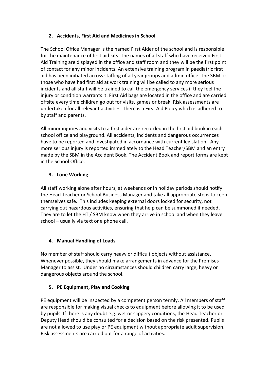# **2. Accidents, First Aid and Medicines in School**

The School Office Manager is the named First Aider of the school and is responsible for the maintenance of first aid kits. The names of all staff who have received First Aid Training are displayed in the office and staff room and they will be the first point of contact for any minor incidents. An extensive training program in paediatric first aid has been initiated across staffing of all year groups and admin office. The SBM or those who have had first aid at work training will be called to any more serious incidents and all staff will be trained to call the emergency services if they feel the injury or condition warrants it. First Aid bags are located in the office and are carried offsite every time children go out for visits, games or break. Risk assessments are undertaken for all relevant activities. There is a First Aid Policy which is adhered to by staff and parents.

All minor injuries and visits to a first aider are recorded in the first aid book in each school office and playground. All accidents, incidents and dangerous occurrences have to be reported and investigated in accordance with current legislation. Any more serious injury is reported immediately to the Head Teacher/SBM and an entry made by the SBM in the Accident Book. The Accident Book and report forms are kept in the School Office.

## **3. Lone Working**

All staff working alone after hours, at weekends or in holiday periods should notify the Head Teacher or School Business Manager and take all appropriate steps to keep themselves safe. This includes keeping external doors locked for security, not carrying out hazardous activities, ensuring that help can be summoned if needed. They are to let the HT / SBM know when they arrive in school and when they leave school – usually via text or a phone call.

## **4. Manual Handling of Loads**

No member of staff should carry heavy or difficult objects without assistance. Whenever possible, they should make arrangements in advance for the Premises Manager to assist. Under no circumstances should children carry large, heavy or dangerous objects around the school.

## **5. PE Equipment, Play and Cooking**

PE equipment will be inspected by a competent person termly. All members of staff are responsible for making visual checks to equipment before allowing it to be used by pupils. If there is any doubt e.g. wet or slippery conditions, the Head Teacher or Deputy Head should be consulted for a decision based on the risk presented. Pupils are not allowed to use play or PE equipment without appropriate adult supervision. Risk assessments are carried out for a range of activities.